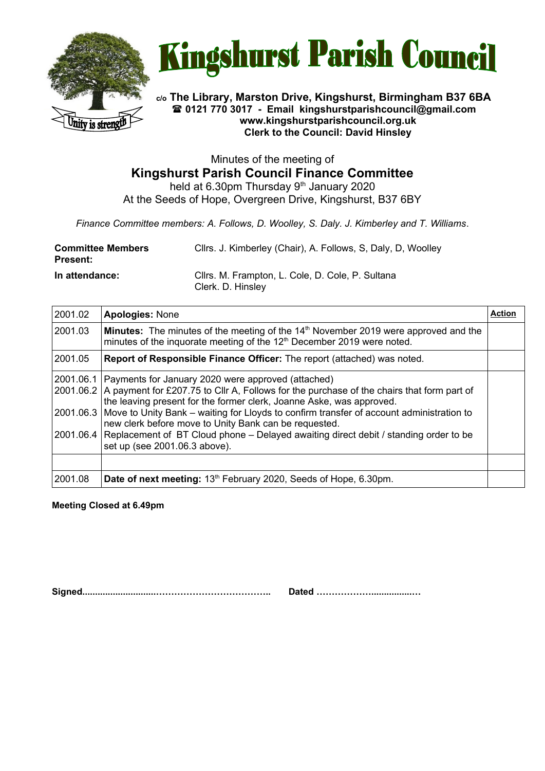



**c/o The Library, Marston Drive, Kingshurst, Birmingham B37 6BA 0121 770 3017 - Email [kingshurstparishcouncil@gmail.com](mailto:kingshurstparishcouncil@gmail.com) www.kingshurstparishcouncil.org.uk Clerk to the Council: David Hinsley** 

Minutes of the meeting of **Kingshurst Parish Council Finance Committee** held at 6.30pm Thursday  $9<sup>th</sup>$  January 2020

At the Seeds of Hope, Overgreen Drive, Kingshurst, B37 6BY

*Finance Committee members: A. Follows, D. Woolley, S. Daly. J. Kimberley and T. Williams*.

| <b>Committee Members</b><br>Present: | Cllrs. J. Kimberley (Chair), A. Follows, S. Daly, D. Woolley          |
|--------------------------------------|-----------------------------------------------------------------------|
| In attendance:                       | Cllrs. M. Frampton, L. Cole, D. Cole, P. Sultana<br>Clerk. D. Hinsley |

| 2001.02 | <b>Apologies: None</b>                                                                                                                                                                                                                                                                                                                                                                                                                                                                                                                          | <b>Action</b> |
|---------|-------------------------------------------------------------------------------------------------------------------------------------------------------------------------------------------------------------------------------------------------------------------------------------------------------------------------------------------------------------------------------------------------------------------------------------------------------------------------------------------------------------------------------------------------|---------------|
| 2001.03 | <b>Minutes:</b> The minutes of the meeting of the 14 <sup>th</sup> November 2019 were approved and the<br>minutes of the inquorate meeting of the 12 <sup>th</sup> December 2019 were noted.                                                                                                                                                                                                                                                                                                                                                    |               |
| 2001.05 | Report of Responsible Finance Officer: The report (attached) was noted.                                                                                                                                                                                                                                                                                                                                                                                                                                                                         |               |
|         | 2001.06.1 Payments for January 2020 were approved (attached)<br>2001.06.2 A payment for £207.75 to Cllr A, Follows for the purchase of the chairs that form part of<br>the leaving present for the former clerk, Joanne Aske, was approved.<br>2001.06.3   Move to Unity Bank – waiting for Lloyds to confirm transfer of account administration to<br>new clerk before move to Unity Bank can be requested.<br>2001.06.4 Replacement of BT Cloud phone – Delayed awaiting direct debit / standing order to be<br>set up (see 2001.06.3 above). |               |
|         |                                                                                                                                                                                                                                                                                                                                                                                                                                                                                                                                                 |               |
| 2001.08 | Date of next meeting: 13 <sup>th</sup> February 2020, Seeds of Hope, 6.30pm.                                                                                                                                                                                                                                                                                                                                                                                                                                                                    |               |

**Meeting Closed at 6.49pm**

**Signed.............................……………………………….. Dated ………………................…**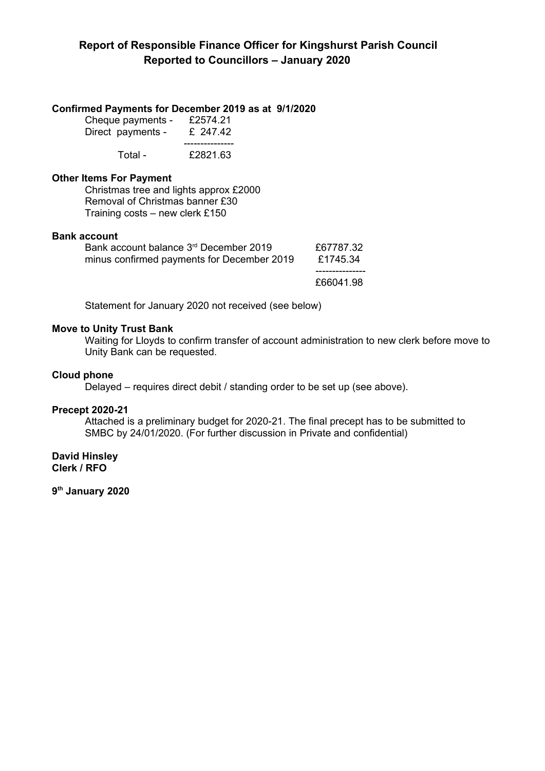# **Confirmed Payments for December 2019 as at 9/1/2020**

| Cheque payments -<br>Direct payments - | £2574.21<br>£ 247.42 |
|----------------------------------------|----------------------|
|                                        |                      |
| Total -                                | £2821.63             |

# **Other Items For Payment**

Christmas tree and lights approx £2000 Removal of Christmas banner £30 Training costs – new clerk £150

## **Bank account**

| Bank account balance 3 <sup>rd</sup> December 2019<br>minus confirmed payments for December 2019 | £67787.32<br>£1745.34 |
|--------------------------------------------------------------------------------------------------|-----------------------|
|                                                                                                  |                       |
|                                                                                                  | £66041.98             |

Statement for January 2020 not received (see below)

## **Move to Unity Trust Bank**

Waiting for Lloyds to confirm transfer of account administration to new clerk before move to Unity Bank can be requested.

## **Cloud phone**

Delayed – requires direct debit / standing order to be set up (see above).

### **Precept 2020-21**

Attached is a preliminary budget for 2020-21. The final precept has to be submitted to SMBC by 24/01/2020. (For further discussion in Private and confidential)

**David Hinsley Clerk / RFO**

**9 th January 2020**